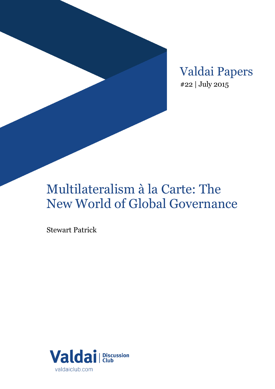Valdai Papers #22 | July 2015

# Multilateralism à la Carte: The New World of Global Governance

Stewart Patrick

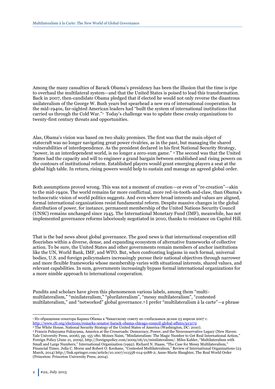Among the many casualties of Barack Obama's presidency has been the illusion that the time is ripe to overhaul the multilateral system—and that the United States is poised to lead this transformation. Back in 2007, then-candidate Obama pledged that if elected he would not only reverse the disastrous unilateralism of the George W. Bush years but spearhead a new era of international cooperation. In the mid-1940s, far-sighted American leaders had "built the system of international institutions that carried us through the Cold War."<sup>1</sup> Today's challenge was to update these creaky organizations to twenty-first century threats and opportunities.

Alas, Obama's vision was based on two shaky premises. The first was that the main object of statecraft was no longer navigating great power rivalries, as in the past, but managing the shared vulnerabilities of interdependence. As the president declared in his first National Security Strategy, "power, in an interdependent world, is no longer a zero-sum game." <sup>2</sup> The second was that the United States had the capacity and will to engineer a grand bargain between established and rising powers on the contours of institutional reform. Established players would grant emerging players a seat at the global high table. In return, rising powers would help to sustain and manage an agreed global order.

Both assumptions proved wrong. This was not a moment of creation—or even of "re-creation"—akin to the mid-1940s. The world remains far more conflictual, more red-in-tooth-and-claw, than Obama's technocratic vision of world politics suggests. And even where broad interests and values are aligned, formal international organizations resist fundamental reform. Despite massive changes in the global distribution of power, for instance, permanent membership of the United Nations Security Council (UNSC) remains unchanged since 1945. The International Monetary Fund (IMF), meanwhile, has not implemented governance reforms laboriously negotiated in 2010, thanks to resistance on Capitol Hill.

That is the bad news about global governance. The good news is that international cooperation still flourishes within a diverse, dense, and expanding ecosystem of alternative frameworks of collective action. To be sure, the United States and other governments remain members of anchor institutions like the UN, World Bank, IMF, and WTO. But, when confronting logjams in such formal, universal bodies, U.S. and foreign policymakers increasingly pursue their national objectives through narrower and more flexible frameworks whose membership varies with situational interests, shared values, and relevant capabilities. In sum, governments increasingly bypass formal international organizations for a more nimble approach to international cooperation.

Pundits and scholars have given this phenomenon various labels, among them "multimultilateralism," "minilateralism," "plurilateralism", "messy multilateralism", "contested multilateralism," and "networked" global governance.<sup>3</sup> I prefer "multilateralism à la carte"—a phrase

<sup>1</sup> Из обращения сенатора Барака Обамы к Чикагскому совету по глобальным делам 23 апреля 2007 г. <http://www.cfr.org/elections/remarks-senator-barack-obama-chicago-council-global-affairs/p13172>

<sup>&</sup>lt;sup>2</sup> The White House, National Security Strategy of the United States of America (Washington, DC: 2010).

<sup>3</sup> Francis Fukuyama Fukuyama, America at the Crossroads: Democracy, Power, and the Neoconservative Legacy (New Haven: Yale University Press, 2006), pp. 155-180. Moises Naim, "Minilateralism: The Magic Number to Get Real International Action," Foreign Policy (June 21, 2009), http://foreignpolicy.com/2009/06/21/minilateralism/. Miles Kahler, "Multilateralism with Small and Large Numbers," International Organization (1992). Richard N. Haass, "The Case for Messy Multilateralism," Financial Times. Julia C. Morse and Robert O. Keohane, "Contested Multilateralism," Review of International Organizations (23 March, 2014) http://link.springer.com/article/10.1007/s11558-014-9188-2; Anne-Marie Slaughter, The Real World Order (Princeton: Princeton University Press, 2004).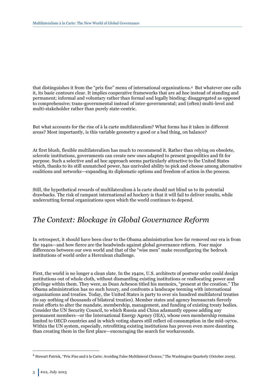that distinguishes it from the "prix fixe" menu of international organizations.4 But whatever one calls it, its basic contours clear. It implies cooperative frameworks that are ad hoc instead of standing and permanent; informal and voluntary rather than formal and legally binding; disaggregated as opposed to comprehensive; trans-governmental instead of inter-governmental; and (often) multi-level and multi-stakeholder rather than purely state-centric.

But what accounts for the rise of à la carte multilateralism? What forms has it taken in different areas? Most importantly, is this variable geometry a good or a bad thing, on balance?

At first blush, flexible multilateralism has much to recommend it. Rather than relying on obsolete, sclerotic institutions, governments can create new ones adapted to present geopolitics and fit for purpose. Such a selective and ad hoc approach seems particularly attractive to the United States which, thanks to its still unmatched power, has unrivaled ability to pick and choose among alternative coalitions and networks—expanding its diplomatic options and freedom of action in the process.

Still, the hypothetical rewards of multilateralism à la carte should not blind us to its potential drawbacks. The risk of rampant international ad hockery is that it will fail to deliver results, while undercutting formal organizations upon which the world continues to depend.

### *The Context: Blockage in Global Governance Reform*

In retrospect, it should have been clear to the Obama administration how far removed our era is from the 1940s—and how fierce are the headwinds against global governance reform. Four major differences between our own world and that of the "wise men" make reconfiguring the bedrock institutions of world order a Herculean challenge.

First, the world is no longer a clean slate. In the 1940s, U.S. architects of postwar order could design institutions out of whole cloth, without dismantling existing institutions or reallocating power and privilege within them. They were, as Dean Acheson titled his memoirs, "present at the creation." The Obama administration has no such luxury, and confronts a landscape teeming with international organizations and treaties. Today, the United States is party to over six hundred multilateral treaties (to say nothing of thousands of bilateral treaties). Member states and agency bureaucrats fiercely resist efforts to alter the mandate, membership, management, and funding of existing treaty bodies. Consider the UN Security Council, to which Russia and China adamantly oppose adding any permanent members—or the International Energy Agency (IEA), whose own membership remains limited to OECD countries and in which voting shares still reflect oil consumption in the mid-1970s. Within the UN system, especially, retrofitting existing institutions has proven even more daunting than creating them in the first place—encouraging the search for workarounds.

<sup>4</sup> Stewart Patrick, "Prix Fixe and à la Carte: Avoiding False Multilateral Choices," The Washington Quarterly (October 2009).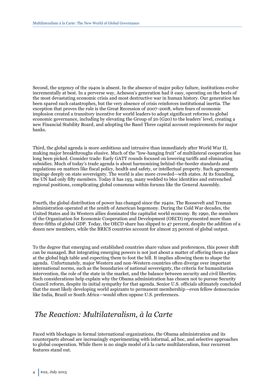Second, the urgency of the 1940s is absent. In the absence of major policy failure, institutions evolve incrementally at best. In a perverse way, Acheson's generation had it easy, operating on the heels of the most devastating economic crisis and most destructive war in human history. Our generation has been spared such catastrophes, but the very absence of crisis reinforces institutional inertia. The exception that proves the rule is the Great Recession of 2007-2008, when fears of economic implosion created a transitory incentive for world leaders to adopt significant reforms to global economic governance, including by elevating the Group of 20 (G20) to the leaders' level, creating a new Financial Stability Board, and adopting the Basel Three capital account requirements for major banks.

Third, the global agenda is more ambitious and intrusive than immediately after World War II, making major breakthroughs elusive. Much of the "low-hanging fruit" of multilateral cooperation has long been picked. Consider trade: Early GATT rounds focused on lowering tariffs and eliminating subsidies. Much of today's trade agenda is about harmonizing behind-the-border standards and regulations on matters like fiscal policy, health and safety, or intellectual property. Such agreements impinge deeply on state sovereignty. The world is also more crowded—with states. At its founding, the UN had only fifty members. Today it has 193, many wedded to bloc identities and entrenched regional positions, complicating global consensus within forums like the General Assembly.

Fourth, the global distribution of power has changed since the 1940s. The Roosevelt and Truman administration operated at the zenith of American hegemony. During the Cold War decades, the United States and its Western allies dominated the capitalist world economy. By 1990, the members of the Organization for Economic Cooperation and Development (OECD) represented more than three-fifths of global GDP. Today, the OECD share has slipped to 47 percent, despite the addition of a dozen new members, while the BRICS countries account for almost 25 percent of global output.

To the degree that emerging and established countries share values and preferences, this power shift can be managed. But integrating emerging powers is not just about a matter of offering them a place at the global high table and expecting them to foot the bill. It implies allowing them to shape the agenda. Unfortunately, major Western and non-Western countries often diverge over important international norms, such as the boundaries of national sovereignty, the criteria for humanitarian intervention, the role of the state in the market, and the balance between security and civil liberties. Such considerations help explain why the Obama administration has chosen not to pursue Security Council reform, despite its initial sympathy for that agenda. Senior U.S. officials ultimately concluded that the most likely developing world aspirants to permanent membership—even fellow democracies like India, Brazil or South Africa—would often oppose U.S. preferences.

## *The Reaction: Multilateralism, à la Carte*

Faced with blockages in formal international organizations, the Obama administration and its counterparts abroad are increasingly experimenting with informal, ad hoc, and selective approaches to global cooperation. While there is no single model of à la carte multilateralism, four recurrent features stand out.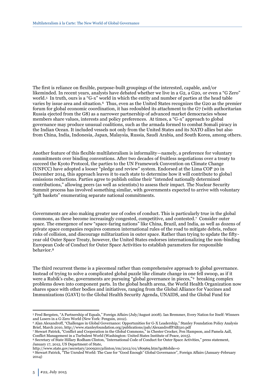The first is reliance on flexible, purpose-built groupings of the interested, capable, and/or likeminded. In recent years, analysts have debated whether we live in a G2, a G20, or even a "G Zero" world.<sup>5</sup> In truth, ours is a "G-x" world in which the entity and number of parties at the head table varies by issue area and situation.6 Thus, even as the United States recognizes the G20 as the premier forum for global economic coordination, it has redoubled its attachment to the G7 (with authoritarian Russia ejected from the G8) as a narrower partnership of advanced market democracies whose members share values, interests and policy preferences. At times, a "G-x" approach to global governance may produce unusual coalitions, such as the armada formed to combat Somali piracy in the Indian Ocean. It included vessels not only from the United States and its NATO allies but also from China, India, Indonesia, Japan, Malaysia, Russia, Saudi Arabia, and South Korea, among others.

Another feature of this flexible multilateralism is informality—namely, a preference for voluntary commitments over binding conventions. After two decades of fruitless negotiations over a treaty to succeed the Kyoto Protocol, the parties to the UN Framework Convention on Climate Change (UNFCC) have adopted a looser "pledge and review" system. Endorsed at the Lima COP 20 in December 2014, this approach leaves it to each state to determine how it will contribute to global emissions reductions. Parties agree to publish online their "intended nationally determined contributions," allowing peers (as well as scientists) to assess their impact. The Nuclear Security Summit process has involved something similar, with governments expected to arrive with voluntary "gift baskets" enumerating separate national commitments.

Governments are also making greater use of codes of conduct. This is particularly true in the global commons, as these become increasingly congested, competitive, and contested.<sup>7</sup> Consider outer space. The emergence of new "space-faring nations" like China, Brazil, and India, as well as dozens of private space companies requires common international rules of the road to mitigate debris, reduce risks of collision, and discourage militarization in outer space. Rather than trying to update the fiftyyear old Outer Space Treaty, however, the United States endorses internationalizing the non-binding European Code of Conduct for Outer Space Activities to establish parameters for responsible behavior.<sup>8</sup>

The third recurrent theme is a piecemeal rather than comprehensive approach to global governance. Instead of trying to solve a complicated global puzzle like climate change in one fell swoop, as if it were a Rubik's cube, governments are pursuing "global governance in pieces,"9 breaking complex problems down into component parts. In the global health arena, the World Health Organization now shares space with other bodies and initiatives, ranging from the Global Alliance for Vaccines and Immunizations (GAVI) to the Global Health Security Agenda, UNAIDS, and the Global Fund for

<sup>5</sup> Fred Bergsten, "A Partnership of Equals," Foreign Affairs (July/August 2008). Ian Bremmer, Every Nation for Itself: Winners and Losers in a G-Zero World (New York: Penguin, 2012).

<sup>6</sup> Alan Alexandroff, "Challenges in Global Governance: Opportunities for G-X Leadership," Stanley Foundation Policy Analysis Brief, March 2010, http://www.stanleyfoundation.org/publications/pab/AlexandroffPAB310.pdf

<sup>7</sup> Stewart Patrick, "Conflict and Cooperation in the Global Commons," in Chester Crocker, Fen Hampson, and Pamela Aall, Conflict Management in a Turbulent World (Washington: United States Institute of Peace, 2015).

<sup>8</sup> Secretary of State Hillary Rodham Clinton, "International Code of Conduct for Outer Space Activities," press statement, January 17, 2012, US Department of State,

http://www.state.gov/secretary/20092013clinton/rm/2012/01/180969.htm?goMobile=0

<sup>9</sup> Stewart Patrick, "The Unruled World: The Case for "Good Enough" Global Governance", Foreign Affairs (January-February 2014)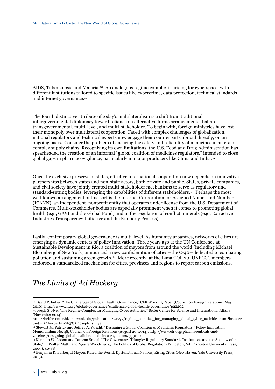AIDS, Tuberculosis and Malaria.10 An analogous regime complex is arising for cyberspace, with different institutions tailored to specific issues like cybercrime, data protection, technical standards and internet governance.<sup>11</sup>

The fourth distinctive attribute of today's multilateralism is a shift from traditional intergovernmental diplomacy toward reliance on alternative forms arrangements that are transgovernmental, multi-level, and multi-stakeholder. To begin with, foreign ministries have lost their monopoly over multilateral cooperation. Faced with complex challenges of globalization, national regulators and technical experts now engage their counterparts abroad directly, on an ongoing basis. Consider the problem of ensuring the safety and reliability of medicines in an era of complex supply chains. Recognizing its own limitations, the U.S. Food and Drug Administration has spearheaded the creation of an informal "global coalition of medicines regulators," intended to close global gaps in pharmacovigilance, particularly in major producers like China and India. <sup>12</sup>

Once the exclusive preserve of states, effective international cooperation now depends on innovative partnerships between states and non-state actors, both private and public. States, private companies, and civil society have jointly created multi-stakeholder mechanisms to serve as regulatory and standard-setting bodies, leveraging the capabilities of different stakeholders.13 Perhaps the most well-known arrangement of this sort is the Internet Corporation for Assigned Names and Numbers (ICANN), an independent, nonprofit entity that operates under license from the U.S. Department of Commerce. Multi-stakeholder bodies are especially prominent when it comes to promoting global health (e.g., GAVI and the Global Fund) and in the regulation of conflict minerals (e.g., Extractive Industries Transparency Initiative and the Kimberly Process).

Lastly, contemporary global governance is multi-level. As humanity urbanizes, networks of cities are emerging as dynamic centers of policy innovation. Three years ago at the UN Conference at Sustainable Development in Rio, a coalition of mayors from around the world (including Michael Bloomberg of New York) announced a new confederation of cities—the C-40—dedicated to combating pollution and sustaining green growth.14 More recently, at the Lima COP 20, UNFCCC members endorsed a standardized mechanism for cities, provinces and regions to report carbon emissions.

## *The Limits of Ad Hockery*

<sup>10</sup> David P. Fidler, "The Challenges of Global Health Governance," CFR Working Paper (Council on Foreign Relations, May 2010), http://www.cfr.org/global-governance/challenges-global-health-governance/p22202

<sup>&</sup>lt;sup>11</sup>Joseph S. Nye, "The Regime Complex for Managing Cyber Activities," Belfer Center for Science and International Affairs (November 2014),

http://belfercenter.hks.harvard.edu/publication/24797/regime\_complex\_for\_managing\_global\_cyber\_activities.html?breadcr umb=%2Fexperts%2F3%2Fjoseph\_s\_nye

<sup>12</sup> Stewart M. Patrick and Jeffrey A. Wright, "Designing a Global Coalition of Medicines Regulators," Policy Innovation Memorandum No. 48, Council on Foreign Relations (August 20, 2014), http://www.cfr.org/pharmaceuticals-andvaccines/designing-global-coalition-medicines-regulators/p33100

<sup>13</sup> Kenneth W. Abbott and Duncan Snidal, "The Governance Triangle: Regulatory Standards Institutions and the Shadow of the State," in Walter Mattli and Ngaire Woods, eds., The Politics of Global Regulation (Princeton, NJ: Princeton University Press, 2009), 40-88

<sup>14</sup> Benjamin R. Barber, If Mayors Ruled the World: Dysfunctional Nations, Rising Cities (New Haven: Yale University Press, 2013).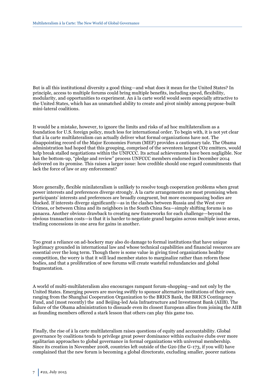But is all this institutional diversity a good thing—and what does it mean for the United States? In principle, access to multiple forums could bring multiple benefits, including speed, flexibility, modularity, and opportunities to experiment. An à la carte world would seem especially attractive to the United States, which has an unmatched ability to create and pivot nimbly among purpose-built mini-lateral coalitions.

It would be a mistake, however, to ignore the limits and risks of ad hoc multilateralism as a foundation for U.S. foreign policy, much less for international order. To begin with, it is not yet clear that à la carte multilateralism can actually deliver what formal organizations have not. The disappointing record of the Major Economies Forum (MEF) provides a cautionary tale. The Obama administration had hoped that this grouping, comprised of the seventeen largest CO2 emitters, would help break stalled negotiations within the UNFCCC. Its actual achievements have been negligible. Nor has the bottom-up, "pledge and review" process UNFCCC members endorsed in December 2014 delivered on its promise. This raises a larger issue: how credible should one regard commitments that lack the force of law or any enforcement?

More generally, flexible minilateralism is unlikely to resolve tough cooperation problems when great power interests and preferences diverge strongly. À la carte arrangements are most promising when participants' interests and preferences are broadly congruent, but more encompassing bodies are blocked. If interests diverge significantly—as in the clashes between Russia and the West over Crimea, or between China and its neighbors in the South China Sea—simply shifting forums is no panacea. Another obvious drawback to creating new frameworks for each challenge—beyond the obvious transaction costs—is that it is harder to negotiate grand bargains across multiple issue areas, trading concessions in one area for gains in another.

Too great a reliance on ad-hockery may also do damage to formal institutions that have unique legitimacy grounded in international law and whose technical capabilities and financial resources are essential over the long term. Though there is some value in giving tired organizations healthy competition, the worry is that it will lead member states to marginalize rather than reform these bodies, and that a proliferation of new forums will create wasteful redundancies and global fragmentation.

A world of multi-multilateralism also encourages rampant forum-shopping—and not only by the United States. Emerging powers are moving swiftly to sponsor alternative institutions of their own, ranging from the Shanghai Cooperation Organization to the BRICS Bank, the BRICS Contingency Fund, and (most recently) the and Beijing-led Asia Infrastructure and Investment Bank (AIIB). The failure of the Obama administration to dissuade even its closest European allies from joining the AIIB as founding members offered a stark lesson that others can play this game too.

Finally, the rise of à la carte multilateralism raises questions of equity and accountability. Global governance by coalitions tends to privilege great power dominance within exclusive clubs over more egalitarian approaches to global governance in formal organizations with universal membership. Since its creation in November 2008, countries left outside of the G20 (the G-173, if you will) have complained that the new forum is becoming a global directorate, excluding smaller, poorer nations